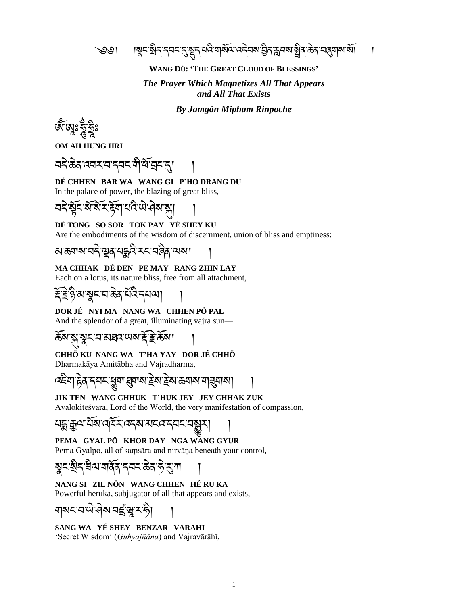<u>্ঞ | | খুন:খ্ৰীন্ত্ৰনন্দ্ৰ, মুন্নমন্ত্ৰীয় বিশেষেণ্ট্ৰৰ, স্থান স্থাৰ, স্থান, স্থান, স্থান, স্থান, স্থান, স্থা</u>

#### **WANG DÜ: 'THE GREAT CLOUD OF BLESSINGS'**

## *The Prayer Which Magnetizes All That Appears and All That Exists*

*By Jamgön Mipham Rinpoche*

জ্যানেঃ

**OM AH HUNG HRI**

ার্মমান্মমারী ব্রিমান্

#### **DÉ CHHEN BAR WA WANG GI P'HO DRANG DU** In the palace of power, the blazing of great bliss,

ঽঽৼৢঽৼয়ৼৗঽৼৼয়ৼঢ়৸৸

**DÉ TONG SO SOR TOK PAY YÉ SHEY KU** Are the embodiments of the wisdom of discernment, union of bliss and emptiness:

<u>য়ড়য়৶য়ৼৢ৾ড়৾ঀয়ৼৼ৻ৼ৻ড়ৢ৻ৼৢ৻ৼ</u>

**MA CHHAK DÉ DEN PE MAY RANG ZHIN LAY**

Each on a lotus, its nature bliss, free from all attachment,

<u>য়ড়ৢ</u>ৼৼয়ড়৾ঽৼ৾ঢ়৻ৼৼয়

**DOR JÉ NYI MA NANG WA CHHEN PÖ PAL** And the splendor of a great, illuminating vajra sun—

ক্সাম্মুম্বুমানস্নয় আৰু ক্ষমা

**CHHÖ KU NANG WA T'HA YAY DOR JÉ CHHÖ**

Dharmakāya Amitābha and Vajradharma,

বইশ हेन नयन छुग झुगरा हेन हेन काला गईगल।

**JIK TEN WANG CHHUK T'HUK JEY JEY CHHAK ZUK** Avalokiteśvara, Lord of the World, the very manifestation of compassion,

খ ঘষা ব্যবহাৰে মানে

**PEMA GYAL PÖ KHOR DAY NGA WANG GYUR** Pema Gyalpo, all of saṃsāra and nirvāṇa beneath your control,

སྣང་སྲིད་ཟྲིལ་གནོན་དབང་ཆེན་ཧེ་རུ་ཀ །

**NANG SI ZIL NÖN WANG CHHEN HÉ RU KA** Powerful heruka, subjugator of all that appears and exists,

মামহাযান, প্ৰসাত্ৰ প্ৰা

**SANG WA YÉ SHEY BENZAR VARAHI** 'Secret Wisdom' (*Guhyajñāna*) and Vajravārāhī,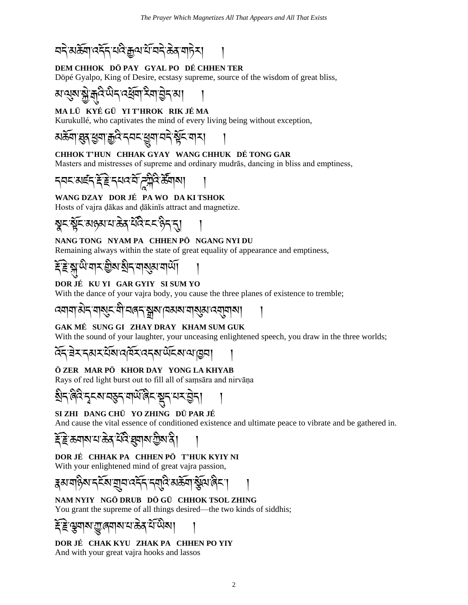བདེ་མཆོག་འདོད་པའྲི་རྒྱལ་པོ་བདེ་ཆེན་གཏེར། །

## **DEM CHHOK DÖ PAY GYAL PO DÉ CHHEN TER**

Döpé Gyalpo, King of Desire, ecstasy supreme, source of the wisdom of great bliss,

ষাঝ<mark>ুমাষ্</mark>ক্ৰীৰ্মুবি<sup>:</sup>ਘੈবাৰ্শ্ৰিশাইন'ৰী ।

## **MA LÜ KYÉ GÜ YI T'HROK RIK JÉ MA**

Kurukullé, who captivates the mind of every living being without exception,

མཆོག་ཐུན་ཕག་རྒྱའྲི་དབང་ཕྱུག་བདེ་སོང་གར། །

#### **CHHOK T'HUN CHHAK GYAY WANG CHHUK DÉ TONG GAR**

Masters and mistresses of supreme and ordinary mudrās, dancing in bliss and emptiness,

དབང་མཛད་རོ་རེ་དཔའ་བོ་ཌ ཀྲིའྲི་ཚོགས། །

## **WANG DZAY DOR JÉ PA WO DA KI TSHOK**

Hosts of vajra ḍākas and ḍākinīs attract and magnetize.

སྣང་སོང་མཉམ་པ་ཆེན་པོའྲི་ངང་ཉྲིད་དུ། །

#### **NANG TONG NYAM PA CHHEN PÖ NGANG NYI DU**

Remaining always within the state of great equality of appearance and emptiness,

རོ་རེ་སྡུ་ཡྲི་གར་གྲིས་སྲིད་གསུམ་གཡོ། །

#### **DOR JÉ KU YI GAR GYIY SI SUM YO**

With the dance of your vajra body, you cause the three planes of existence to tremble;

འགག་མེད་གསུང་གྲི་བཞད་སྒྲས་ཁམས་གསུམ་འགུགས། །

## **GAK MÉ SUNG GI ZHAY DRAY KHAM SUM GUK**

With the sound of your laughter, your unceasing enlightened speech, you draw in the three worlds;

$$
\widetilde{\mathcal{A}}\widetilde{\mathcal{A}}\widetilde{\mathcal{A}}\widetilde{\mathcal{A}}\widetilde{\mathcal{A}}\widetilde{\mathcal{A}}\widetilde{\mathcal{A}}\widetilde{\mathcal{A}}\widetilde{\mathcal{A}}\widetilde{\mathcal{A}}\widetilde{\mathcal{A}}\widetilde{\mathcal{A}}\widetilde{\mathcal{A}}\widetilde{\mathcal{A}}\widetilde{\mathcal{A}}\widetilde{\mathcal{A}}\widetilde{\mathcal{A}}\widetilde{\mathcal{A}}\widetilde{\mathcal{A}}\widetilde{\mathcal{A}}\widetilde{\mathcal{A}}\widetilde{\mathcal{A}}\widetilde{\mathcal{A}}\widetilde{\mathcal{A}}\widetilde{\mathcal{A}}\widetilde{\mathcal{A}}\widetilde{\mathcal{A}}\widetilde{\mathcal{A}}\widetilde{\mathcal{A}}\widetilde{\mathcal{A}}\widetilde{\mathcal{A}}\widetilde{\mathcal{A}}\widetilde{\mathcal{A}}\widetilde{\mathcal{A}}\widetilde{\mathcal{A}}\widetilde{\mathcal{A}}\widetilde{\mathcal{A}}\widetilde{\mathcal{A}}\widetilde{\mathcal{A}}\widetilde{\mathcal{A}}\widetilde{\mathcal{A}}\widetilde{\mathcal{A}}\widetilde{\mathcal{A}}\widetilde{\mathcal{A}}\widetilde{\mathcal{A}}\widetilde{\mathcal{A}}\widetilde{\mathcal{A}}\widetilde{\mathcal{A}}\widetilde{\mathcal{A}}\widetilde{\mathcal{A}}\widetilde{\mathcal{A}}\widetilde{\mathcal{A}}\widetilde{\mathcal{A}}\widetilde{\mathcal{A}}\widetilde{\mathcal{A}}\widetilde{\mathcal{A}}\widetilde{\mathcal{A}}\widetilde{\mathcal{A}}\widetilde{\mathcal{A}}\widetilde{\mathcal{A}}\widetilde{\mathcal{A}}\widetilde{\mathcal{A}}\widetilde{\mathcal{A}}\widetilde{\mathcal{A}}\widetilde{\mathcal{A}}\widetilde{\mathcal{A}}\widetilde{\mathcal{A}}\widetilde{\mathcal{A}}\widetilde{\mathcal{A}}\widetilde{\mathcal{A}}\widetilde{\mathcal{A}}\widetilde{\mathcal{A}}\widetilde{\mathcal{A}}\widetilde{\mathcal{A}}\widetilde{\mathcal{A}}\widetilde{\mathcal{A}}
$$

## **Ö ZER MAR PÖ KHOR DAY YONG LA KHYAB**

Rays of red light burst out to fill all of saṃsāra and nirvāṇa

སྲིད་ཞྲིའྲི་དྭངས་བཅུད་གཡོ་ཞྲིང་སྡུད་པར་བེད། །

## **SI ZHI DANG CHÜ YO ZHING DÜ PAR JÉ**

And cause the vital essence of conditioned existence and ultimate peace to vibrate and be gathered in.

རོ་རེ་ཆགས་པ་ཆེན་པོའྲི་ཐུགས་ཀྲིས་ནྲི། །

## **DOR JÉ CHHAK PA CHHEN PÖ T'HUK KYIY NI**

With your enlightened mind of great vajra passion,

རྣམ་གཉྲིས་དངོས་གྲུབ་འདོད་དགུའྲི་མཆོག་སོལ་ཞྲིང༌། །

#### **NAM NYIY NGÖ DRUB DÖ GÜ CHHOK TSOL ZHING** You grant the supreme of all things desired—the two kinds of siddhis;

# ষত্যৰেমাম'ম'ক্ৰ

**DOR JÉ CHAK KYU ZHAK PA CHHEN PO YIY** And with your great vajra hooks and lassos